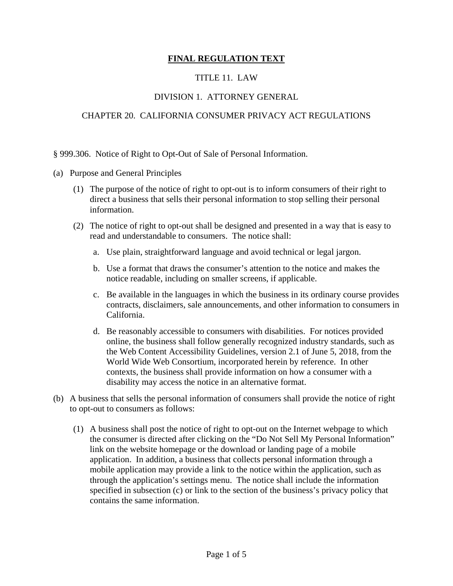## **FINAL REGULATION TEXT**

## TITLE 11. LAW

## DIVISION 1. ATTORNEY GENERAL

## CHAPTER 20. CALIFORNIA CONSUMER PRIVACY ACT REGULATIONS

§ 999.306. Notice of Right to Opt-Out of Sale of Personal Information.

- (a) Purpose and General Principles
	- (1) The purpose of the notice of right to opt-out is to inform consumers of their right to direct a business that sells their personal information to stop selling their personal information.
	- (2) The notice of right to opt-out shall be designed and presented in a way that is easy to read and understandable to consumers. The notice shall:
		- a. Use plain, straightforward language and avoid technical or legal jargon.
		- b. Use a format that draws the consumer's attention to the notice and makes the notice readable, including on smaller screens, if applicable.
		- c. Be available in the languages in which the business in its ordinary course provides contracts, disclaimers, sale announcements, and other information to consumers in California.
		- d. Be reasonably accessible to consumers with disabilities. For notices provided online, the business shall follow generally recognized industry standards, such as the Web Content Accessibility Guidelines, version 2.1 of June 5, 2018, from the World Wide Web Consortium, incorporated herein by reference. In other contexts, the business shall provide information on how a consumer with a disability may access the notice in an alternative format.
- (b) A business that sells the personal information of consumers shall provide the notice of right to opt-out to consumers as follows:
	- (1) A business shall post the notice of right to opt-out on the Internet webpage to which the consumer is directed after clicking on the "Do Not Sell My Personal Information" link on the website homepage or the download or landing page of a mobile application. In addition, a business that collects personal information through a mobile application may provide a link to the notice within the application, such as through the application's settings menu. The notice shall include the information specified in subsection (c) or link to the section of the business's privacy policy that contains the same information.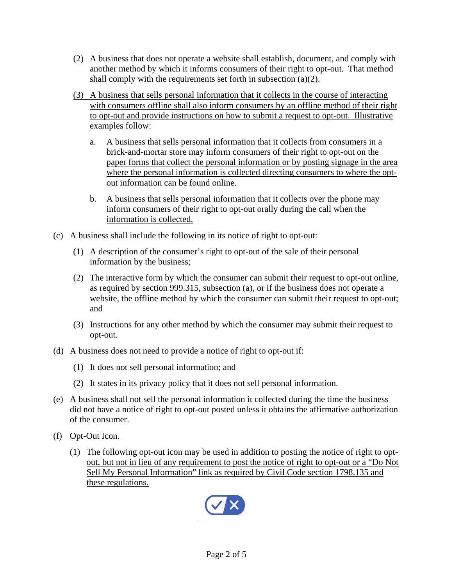- (2) A business that does not operate a website shall establish, document, and comply with another method by which it informs consumers of their right to opt-out. That method shall comply with the requirements set forth in subsection (a)(2).
- (3) A business that sells personal information that it collects in the course of interacting with consumers offline shall also inform consumers by an offline method of their right to opt-out and provide instructions on how to submit a request to opt-out. Illustrative examples follow:
	- a. A business that sells personal information that it collects from consumers in a brick-and-mortar store may inform consumers of their right to opt-out on the paper forms that collect the personal information or by posting signage in the area where the personal information is collected directing consumers to where the optout information can be found online.
	- b. A business that sells personal information that it collects over the phone may inform consumers of their right to opt-out orally during the call when the information is collected.
- (c) A business shall include the following in its notice of right to opt-out:
	- (1) A description of the consumer's right to opt-out of the sale of their personal information by the business;
	- (2) The interactive form by which the consumer can submit their request to opt-out online, as required by section 999.315, subsection (a), or if the business does not operate a website, the offline method by which the consumer can submit their request to opt-out; and
	- (3) Instructions for any other method by which the consumer may submit their request to opt-out.
- (d) A business does not need to provide a notice of right to opt-out if:
	- (1) It does not sell personal information; and
	- (2) It states in its privacy policy that it does not sell personal information.
- (e) A business shall not sell the personal information it collected during the time the business did not have a notice of right to opt-out posted unless it obtains the affirmative authorization of the consumer.
- (f) Opt-Out Icon.
	- (1) The following opt-out icon may be used in addition to posting the notice of right to optout, but not in lieu of any requirement to post the notice of right to opt-out or a "Do Not Sell My Personal Information" link as required by Civil Code section 1798.135 and these regulations.

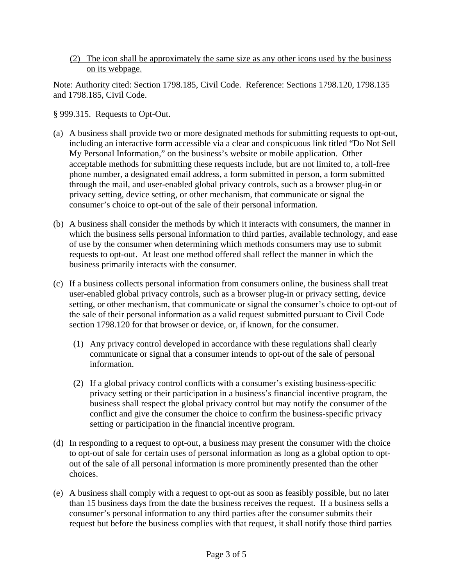(2) The icon shall be approximately the same size as any other icons used by the business on its webpage.

Note: Authority cited: Section 1798.185, Civil Code. Reference: Sections 1798.120, 1798.135 and 1798.185, Civil Code.

§ 999.315. Requests to Opt-Out.

- (a) A business shall provide two or more designated methods for submitting requests to opt-out, including an interactive form accessible via a clear and conspicuous link titled "Do Not Sell My Personal Information," on the business's website or mobile application. Other acceptable methods for submitting these requests include, but are not limited to, a toll-free phone number, a designated email address, a form submitted in person, a form submitted through the mail, and user-enabled global privacy controls, such as a browser plug-in or privacy setting, device setting, or other mechanism, that communicate or signal the consumer's choice to opt-out of the sale of their personal information.
- (b) A business shall consider the methods by which it interacts with consumers, the manner in which the business sells personal information to third parties, available technology, and ease of use by the consumer when determining which methods consumers may use to submit requests to opt-out. At least one method offered shall reflect the manner in which the business primarily interacts with the consumer.
- (c) If a business collects personal information from consumers online, the business shall treat user-enabled global privacy controls, such as a browser plug-in or privacy setting, device setting, or other mechanism, that communicate or signal the consumer's choice to opt-out of the sale of their personal information as a valid request submitted pursuant to Civil Code section 1798.120 for that browser or device, or, if known, for the consumer.
	- (1) Any privacy control developed in accordance with these regulations shall clearly communicate or signal that a consumer intends to opt-out of the sale of personal information.
	- (2) If a global privacy control conflicts with a consumer's existing business-specific privacy setting or their participation in a business's financial incentive program, the business shall respect the global privacy control but may notify the consumer of the conflict and give the consumer the choice to confirm the business-specific privacy setting or participation in the financial incentive program.
- (d) In responding to a request to opt-out, a business may present the consumer with the choice to opt-out of sale for certain uses of personal information as long as a global option to optout of the sale of all personal information is more prominently presented than the other choices.
- (e) A business shall comply with a request to opt-out as soon as feasibly possible, but no later than 15 business days from the date the business receives the request. If a business sells a consumer's personal information to any third parties after the consumer submits their request but before the business complies with that request, it shall notify those third parties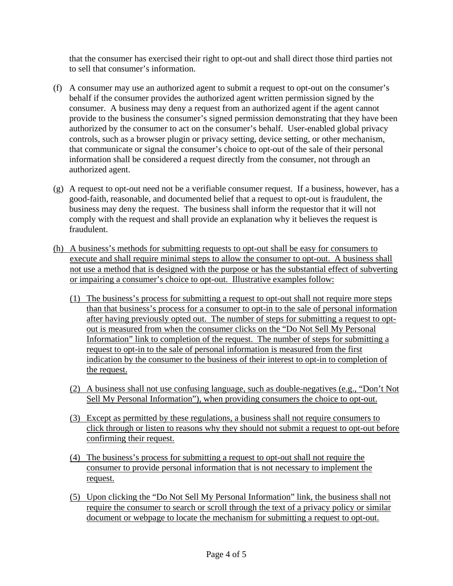that the consumer has exercised their right to opt-out and shall direct those third parties not to sell that consumer's information.

- (f) A consumer may use an authorized agent to submit a request to opt-out on the consumer's behalf if the consumer provides the authorized agent written permission signed by the consumer. A business may deny a request from an authorized agent if the agent cannot provide to the business the consumer's signed permission demonstrating that they have been authorized by the consumer to act on the consumer's behalf. User-enabled global privacy controls, such as a browser plugin or privacy setting, device setting, or other mechanism, that communicate or signal the consumer's choice to opt-out of the sale of their personal information shall be considered a request directly from the consumer, not through an authorized agent.
- (g) A request to opt-out need not be a verifiable consumer request. If a business, however, has a good-faith, reasonable, and documented belief that a request to opt-out is fraudulent, the business may deny the request. The business shall inform the requestor that it will not comply with the request and shall provide an explanation why it believes the request is fraudulent.
- (h) A business's methods for submitting requests to opt-out shall be easy for consumers to execute and shall require minimal steps to allow the consumer to opt-out. A business shall not use a method that is designed with the purpose or has the substantial effect of subverting or impairing a consumer's choice to opt-out. Illustrative examples follow:
	- (1) The business's process for submitting a request to opt-out shall not require more steps than that business's process for a consumer to opt-in to the sale of personal information after having previously opted out. The number of steps for submitting a request to optout is measured from when the consumer clicks on the "Do Not Sell My Personal Information" link to completion of the request. The number of steps for submitting a request to opt-in to the sale of personal information is measured from the first indication by the consumer to the business of their interest to opt-in to completion of the request.
	- (2) A business shall not use confusing language, such as double-negatives (e.g., "Don't Not Sell My Personal Information"), when providing consumers the choice to opt-out.
	- (3) Except as permitted by these regulations, a business shall not require consumers to click through or listen to reasons why they should not submit a request to opt-out before confirming their request.
	- (4) The business's process for submitting a request to opt-out shall not require the consumer to provide personal information that is not necessary to implement the request.
	- (5) Upon clicking the "Do Not Sell My Personal Information" link, the business shall not require the consumer to search or scroll through the text of a privacy policy or similar document or webpage to locate the mechanism for submitting a request to opt-out.